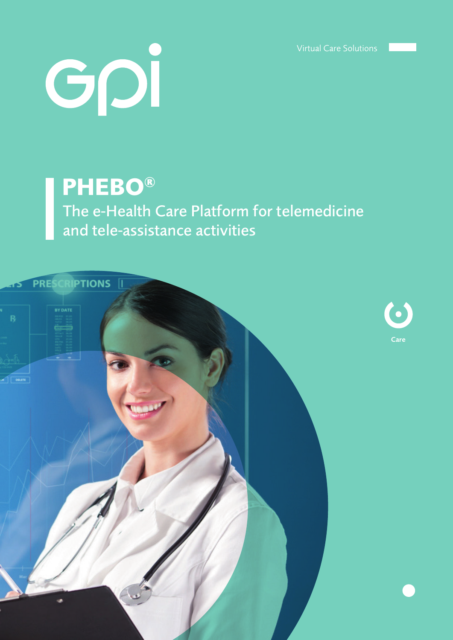Virtual Care Solutions

GDİ

# **PHEBO®**

The e-Health Care Platform for telemedicine and tele-assistance activities

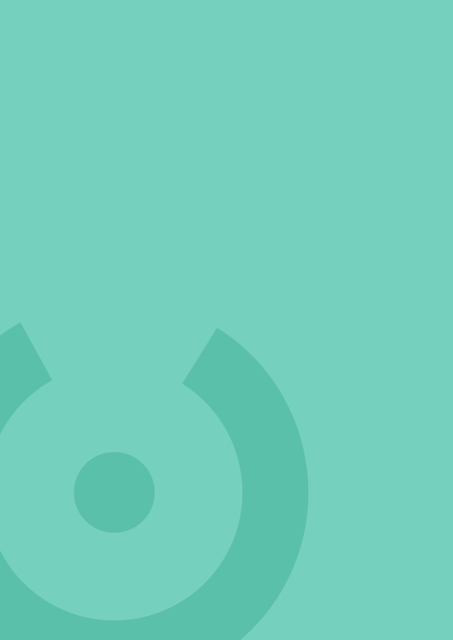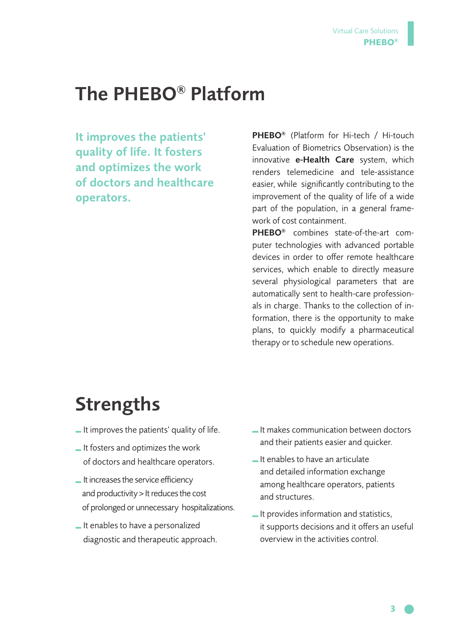### The PHEBO® Platform

It improves the patients' quality of life. It fosters and optimizes the work of doctors and healthcare operators.

PHEBO® (Platform for Hi-tech / Hi-touch Evaluation of Biometrics Observation) is the innovative e-Health Care system, which renders telemedicine and tele-assistance easier, while significantly contributing to the improvement of the quality of life of a wide part of the population, in a general framework of cost containment.

PHEBO® combines state-of-the-art computer technologies with advanced portable devices in order to offer remote healthcare services, which enable to directly measure several physiological parameters that are automatically sent to health-care professionals in charge. Thanks to the collection of information, there is the opportunity to make plans, to quickly modify a pharmaceutical therapy or to schedule new operations.

### **Strengths**

- $\blacksquare$  It improves the patients' quality of life.
- $\blacksquare$  It fosters and optimizes the work of doctors and healthcare operators.
- $I$  It increases the service efficiency and productivity > It reduces the cost of prolonged or unnecessary hospitalizations.
- $I$  It enables to have a personalized diagnostic and therapeutic approach.
- It makes communication between doctors and their patients easier and quicker.
- $\blacksquare$  It enables to have an articulate and detailed information exchange among healthcare operators, patients and structures.
- $I$  It provides information and statistics, it supports decisions and it offers an useful overview in the activities control.

**3**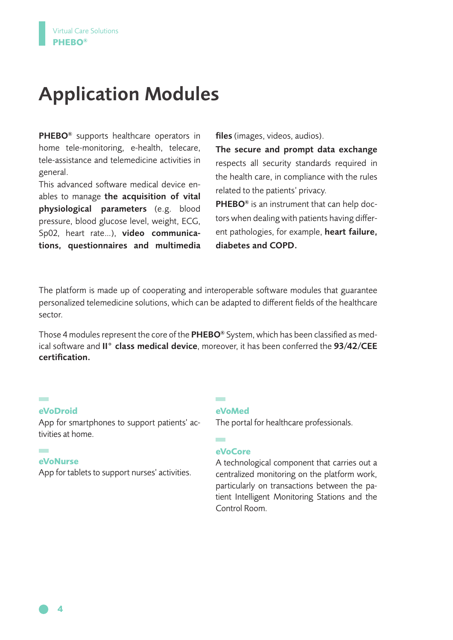## Application Modules

PHEBO<sup>®</sup> supports healthcare operators in home tele-monitoring, e-health, telecare, tele-assistance and telemedicine activities in general.

This advanced software medical device enables to manage the acquisition of vital physiological parameters (e.g. blood pressure, blood glucose level, weight, ECG, Sp02, heart rate…), video communications, questionnaires and multimedia files (images, videos, audios).

The secure and prompt data exchange respects all security standards required in the health care, in compliance with the rules related to the patients' privacy.

**PHEBO®** is an instrument that can help doctors when dealing with patients having different pathologies, for example, heart failure, diabetes and COPD.

The platform is made up of cooperating and interoperable software modules that guarantee personalized telemedicine solutions, which can be adapted to different fields of the healthcare sector.

Those 4 modules represent the core of the PHEBO® System, which has been classified as medical software and II° class medical device, moreover, it has been conferred the 93/42/CEE certification.

### **eVoDroid**

 $\sim$ 

App for smartphones to support patients' activities at home.

#### **eVoNurse**

App for tablets to support nurses' activities.

#### **eVoMed**

**COL** 

 $\sim$ 

The portal for healthcare professionals.

#### **eVoCore**

A technological component that carries out a centralized monitoring on the platform work, particularly on transactions between the patient Intelligent Monitoring Stations and the Control Room.

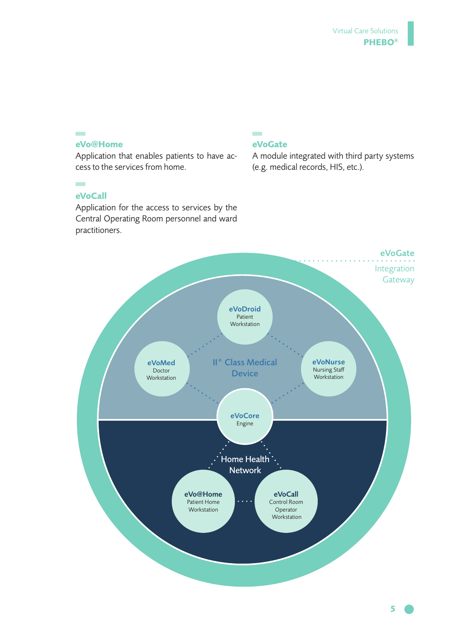#### **eVo@Home**

**College** 

**COL** 

Application that enables patients to have access to the services from home.

#### **eVoCall**

Application for the access to services by the Central Operating Room personnel and ward practitioners.

#### **eVoGate**

**College** 

A module integrated with third party systems (e.g. medical records, HIS, etc.).



**5**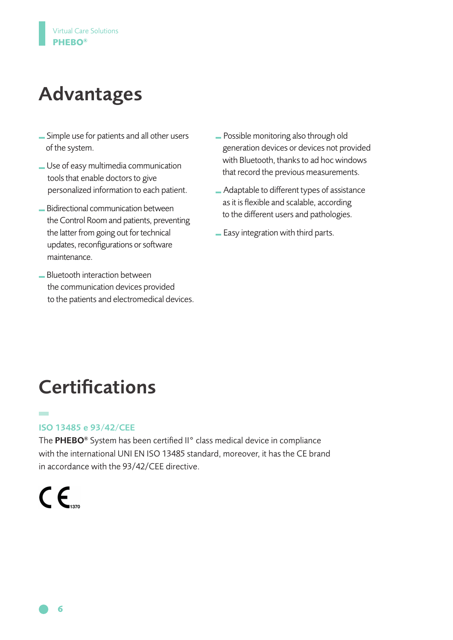## Advantages

- Simple use for patients and all other users of the system.
- Use of easy multimedia communication tools that enable doctors to give personalized information to each patient.
- Bidirectional communication between the Control Room and patients, preventing the latter from going out for technical updates, reconfigurations or software maintenance.
- Bluetooth interaction between the communication devices provided to the patients and electromedical devices.
- **Possible monitoring also through old**  generation devices or devices not provided with Bluetooth, thanks to ad hoc windows that record the previous measurements.
- Adaptable to different types of assistance as it is flexible and scalable, according to the different users and pathologies.
- Easy integration with third parts.

# **Certifications**

#### ISO 13485 e 93/42/CEE

The PHEBO® System has been certified II° class medical device in compliance with the international UNI EN ISO 13485 standard, moreover, it has the CE brand in accordance with the 93/42/CEE directive.



**6**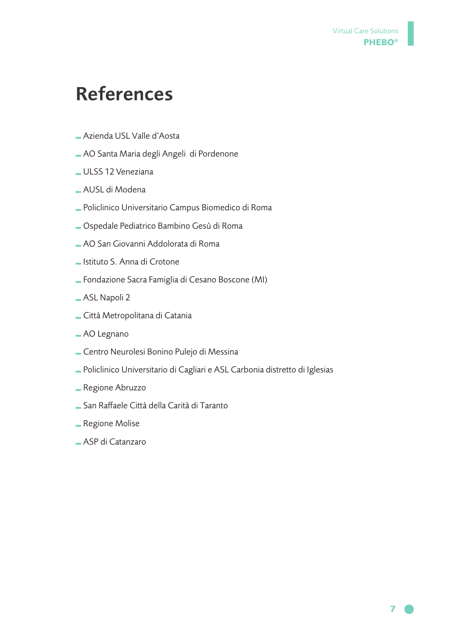### References

- Azienda USL Valle d'Aosta
- AO Santa Maria degli Angeli di Pordenone
- ULSS 12 Veneziana
- AUSL di Modena
- Policlinico Universitario Campus Biomedico di Roma
- Ospedale Pediatrico Bambino Gesù di Roma
- AO San Giovanni Addolorata di Roma
- Istituto S. Anna di Crotone
- Fondazione Sacra Famiglia di Cesano Boscone (MI)
- ASL Napoli 2
- Città Metropolitana di Catania
- AO Legnano
- Centro Neurolesi Bonino Pulejo di Messina
- Policlinico Universitario di Cagliari e ASL Carbonia distretto di Iglesias
- Regione Abruzzo
- San Raffaele Città della Carità di Taranto
- Regione Molise
- ASP di Catanzaro